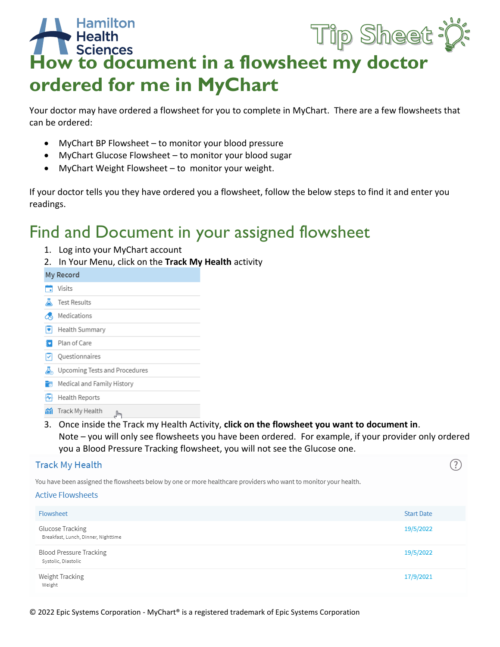## **Hamilton**<br> **How to document in a flowsheet my doctor**<br>
How to document in a flowsheet my doctor **Hamilton** Tip Sheet : p: **ordered for me in MyChart**

Your doctor may have ordered a flowsheet for you to complete in MyChart. There are a few flowsheets that can be ordered:

- MyChart BP Flowsheet to monitor your blood pressure
- MyChart Glucose Flowsheet to monitor your blood sugar
- MyChart Weight Flowsheet to monitor your weight.

If your doctor tells you they have ordered you a flowsheet, follow the below steps to find it and enter you readings.

# Find and Document in your assigned flowsheet

- 1. Log into your MyChart account
- 2. In Your Menu, click on the **Track My Health** activity

|    | My Record                                                                                 |
|----|-------------------------------------------------------------------------------------------|
|    | Visits                                                                                    |
|    | <b>Test Results</b>                                                                       |
|    | Medications                                                                               |
| ٠  | Health Summary                                                                            |
|    | Plan of Care                                                                              |
|    | Questionnaires                                                                            |
|    | Upcoming Tests and Procedures                                                             |
| Fø | Medical and Family History                                                                |
|    | Health Reports                                                                            |
| m  | Track My Health<br>ᠷᡰ᠇                                                                    |
| 3. | Once inside the Track my Health Activity, click on the flowsheet you want to document in. |

Note – you will only see flowsheets you have been ordered. For example, if your provider only ordered you a Blood Pressure Tracking flowsheet, you will not see the Glucose one.

| <b>Track My Health</b>                                                                                                                       |                   | ?) |
|----------------------------------------------------------------------------------------------------------------------------------------------|-------------------|----|
| You have been assigned the flowsheets below by one or more healthcare providers who want to monitor your health.<br><b>Active Flowsheets</b> |                   |    |
| Flowsheet                                                                                                                                    | <b>Start Date</b> |    |
| Glucose Tracking<br>Breakfast, Lunch, Dinner, Nighttime                                                                                      | 19/5/2022         |    |
| Blood Pressure Tracking<br>Systolic, Diastolic                                                                                               | 19/5/2022         |    |
| Weight Tracking<br>Weight                                                                                                                    | 17/9/2021         |    |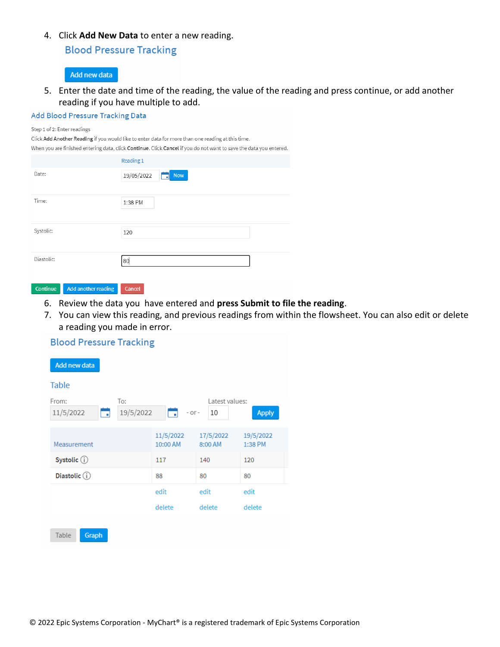4. Click **Add New Data** to enter a new reading.

**Blood Pressure Tracking** 

## Add new data

5. Enter the date and time of the reading, the value of the reading and press continue, or add another reading if you have multiple to add.

## Add Blood Pressure Tracking Data

#### Step 1 of 2: Enter readings

Click Add Another Reading if you would like to enter data for more than one reading at this time. When you are finished entering data, click Continue. Click Cancel if you do not want to save the data you entered. Reading 1

| Date:      | 19/05/2022<br><b>Now</b><br>- 1 |
|------------|---------------------------------|
| Time:      | 1:38 PM                         |
| Systolic:  | 120                             |
| Diastolic: | 80                              |

### Continue Add another reading Cancel

- 6. Review the data you have entered and **press Submit to file the reading**.
- 7. You can view this reading, and previous readings from within the flowsheet. You can also edit or delete a reading you made in error.

## **Blood Pressure Tracking**

| <b>Add new data</b>     |                       |                                |                      |  |  |  |  |  |  |
|-------------------------|-----------------------|--------------------------------|----------------------|--|--|--|--|--|--|
| <b>Table</b>            |                       |                                |                      |  |  |  |  |  |  |
| From:<br>11/5/2022<br>□ | To:<br>19/5/2022<br>⊐ | Latest values:<br>$-0r-$<br>10 | <b>Apply</b>         |  |  |  |  |  |  |
| Measurement             | 11/5/2022<br>10:00 AM | 17/5/2022<br>8:00 AM           | 19/5/2022<br>1:38 PM |  |  |  |  |  |  |
| Systolic (i)            | 117                   | 140                            | 120                  |  |  |  |  |  |  |
| Diastolic (i)           | 88                    | 80                             | 80                   |  |  |  |  |  |  |
|                         | edit                  | edit                           | edit                 |  |  |  |  |  |  |
|                         | delete                | delete                         | delete               |  |  |  |  |  |  |
| Graph<br>Table          |                       |                                |                      |  |  |  |  |  |  |